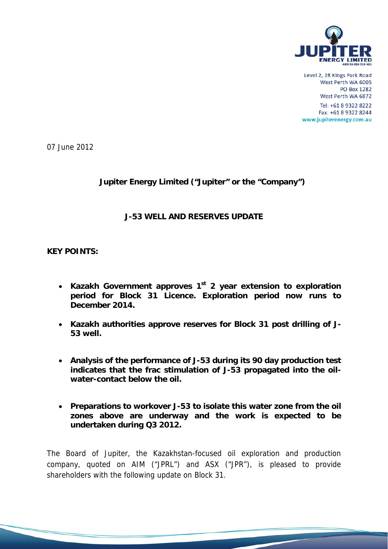

Level 2, 28 Kings Park Road West Perth WA 6005 **PO Box 1282** West Perth WA 6872

Tel: +61 8 9322 8222 Fax: +61 8 9322 8244 www.jupiterenergy.com.au

07 June 2012

# **Jupiter Energy Limited ("Jupiter" or the "Company")**

#### **J-53 WELL AND RESERVES UPDATE**

**KEY POINTS:** 

- **Kazakh Government approves 1st 2 year extension to exploration period for Block 31 Licence. Exploration period now runs to December 2014.**
- **Kazakh authorities approve reserves for Block 31 post drilling of J-53 well.**
- **Analysis of the performance of J-53 during its 90 day production test indicates that the frac stimulation of J-53 propagated into the oilwater-contact below the oil.**
- **Preparations to workover J-53 to isolate this water zone from the oil zones above are underway and the work is expected to be undertaken during Q3 2012.**

The Board of Jupiter, the Kazakhstan-focused oil exploration and production company, quoted on AIM ("JPRL") and ASX ("JPR"), is pleased to provide shareholders with the following update on Block 31.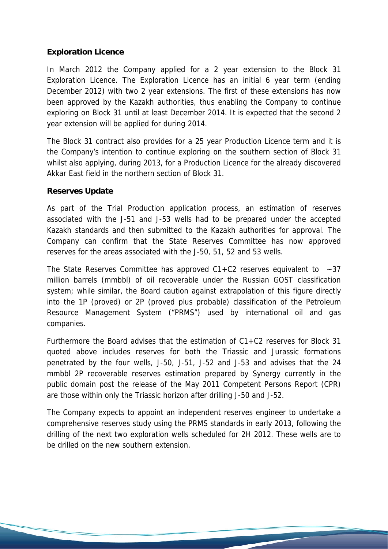## **Exploration Licence**

In March 2012 the Company applied for a 2 year extension to the Block 31 Exploration Licence. The Exploration Licence has an initial 6 year term (ending December 2012) with two 2 year extensions. The first of these extensions has now been approved by the Kazakh authorities, thus enabling the Company to continue exploring on Block 31 until at least December 2014. It is expected that the second 2 year extension will be applied for during 2014.

The Block 31 contract also provides for a 25 year Production Licence term and it is the Company's intention to continue exploring on the southern section of Block 31 whilst also applying, during 2013, for a Production Licence for the already discovered Akkar East field in the northern section of Block 31.

## **Reserves Update**

As part of the Trial Production application process, an estimation of reserves associated with the J-51 and J-53 wells had to be prepared under the accepted Kazakh standards and then submitted to the Kazakh authorities for approval. The Company can confirm that the State Reserves Committee has now approved reserves for the areas associated with the J-50, 51, 52 and 53 wells.

The State Reserves Committee has approved  $C1+C2$  reserves equivalent to  $\sim$ 37 million barrels (mmbbl) of oil recoverable under the Russian GOST classification system; while similar, the Board caution against extrapolation of this figure directly into the 1P (proved) or 2P (proved plus probable) classification of the Petroleum Resource Management System ("PRMS") used by international oil and gas companies.

Furthermore the Board advises that the estimation of C1+C2 reserves for Block 31 quoted above includes reserves for both the Triassic and Jurassic formations penetrated by the four wells, J-50, J-51, J-52 and J-53 and advises that the 24 mmbbl 2P recoverable reserves estimation prepared by Synergy currently in the public domain post the release of the May 2011 Competent Persons Report (CPR) are those within only the Triassic horizon after drilling J-50 and J-52.

The Company expects to appoint an independent reserves engineer to undertake a comprehensive reserves study using the PRMS standards in early 2013, following the drilling of the next two exploration wells scheduled for 2H 2012. These wells are to be drilled on the new southern extension.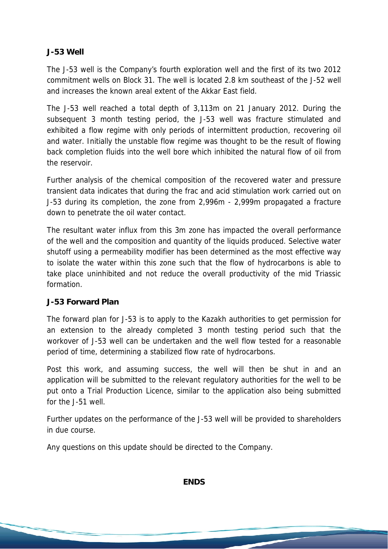## **J-53 Well**

The J-53 well is the Company's fourth exploration well and the first of its two 2012 commitment wells on Block 31. The well is located 2.8 km southeast of the J-52 well and increases the known areal extent of the Akkar East field.

The J-53 well reached a total depth of 3,113m on 21 January 2012. During the subsequent 3 month testing period, the J-53 well was fracture stimulated and exhibited a flow regime with only periods of intermittent production, recovering oil and water. Initially the unstable flow regime was thought to be the result of flowing back completion fluids into the well bore which inhibited the natural flow of oil from the reservoir.

Further analysis of the chemical composition of the recovered water and pressure transient data indicates that during the frac and acid stimulation work carried out on J-53 during its completion, the zone from 2,996m - 2,999m propagated a fracture down to penetrate the oil water contact.

The resultant water influx from this 3m zone has impacted the overall performance of the well and the composition and quantity of the liquids produced. Selective water shutoff using a permeability modifier has been determined as the most effective way to isolate the water within this zone such that the flow of hydrocarbons is able to take place uninhibited and not reduce the overall productivity of the mid Triassic formation.

## **J-53 Forward Plan**

The forward plan for J-53 is to apply to the Kazakh authorities to get permission for an extension to the already completed 3 month testing period such that the workover of J-53 well can be undertaken and the well flow tested for a reasonable period of time, determining a stabilized flow rate of hydrocarbons.

Post this work, and assuming success, the well will then be shut in and an application will be submitted to the relevant regulatory authorities for the well to be put onto a Trial Production Licence, similar to the application also being submitted for the J-51 well.

Further updates on the performance of the J-53 well will be provided to shareholders in due course.

Any questions on this update should be directed to the Company.

**ENDS**